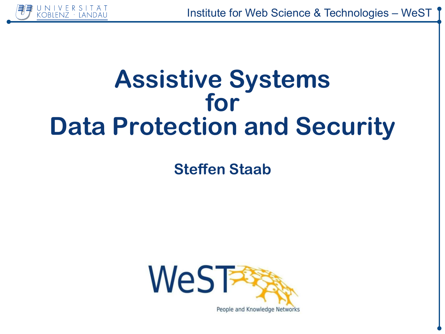

# **Assistive Systems** for **Data Protection and Security**

**Steffen Staab** 

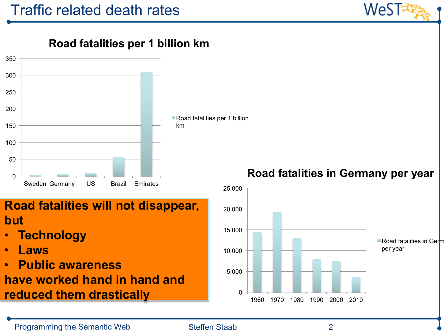

**Road fatalities per 1 billion km** 



### **Road fatalities will not disappear, but**

- **Technology**
- **Laws**
- **Public awareness**

**have worked hand in hand and reduced them drastically**

### **Road fatalities in Germany per year**

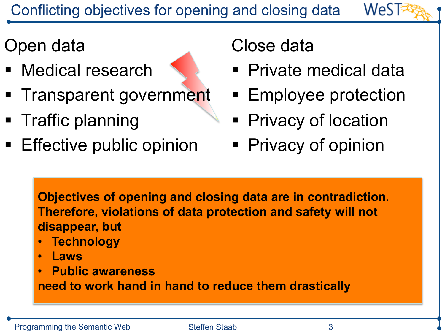# Open data

- Medical research
- Transparent government
- § Traffic planning
- **Effective public opinion**

## Close data

■ Private medical data

WeST

- Employee protection
- **Privacy of location**
- Privacy of opinion

**Objectives of opening and closing data are in contradiction. Therefore, violations of data protection and safety will not disappear, but** 

- **Technology**
- **Laws**
- **Public awareness**

**need to work hand in hand to reduce them drastically**